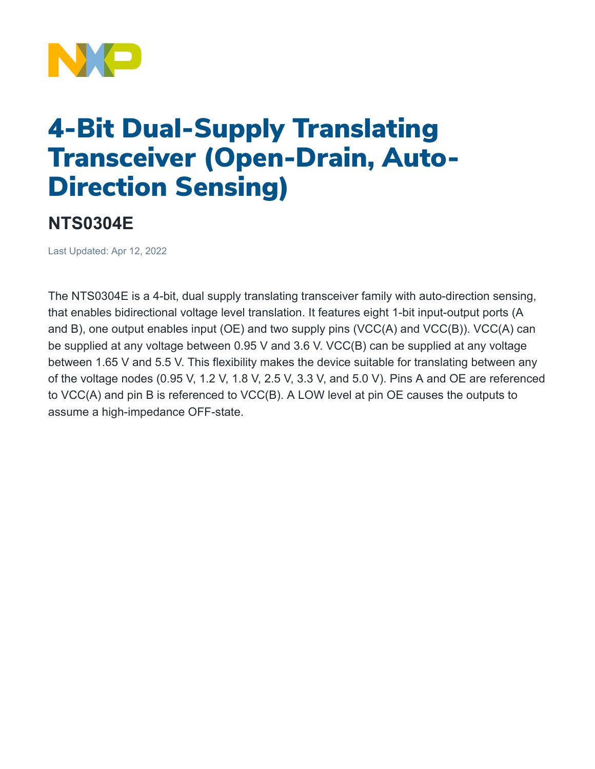

## 4-Bit Dual-Supply Translating Transceiver (Open-Drain, Auto-Direction Sensing)

## **NTS0304E**

Last Updated: Apr 12, 2022

The NTS0304E is a 4-bit, dual supply translating transceiver family with auto-direction sensing, that enables bidirectional voltage level translation. It features eight 1-bit input-output ports (A and B), one output enables input (OE) and two supply pins (VCC(A) and VCC(B)). VCC(A) can be supplied at any voltage between 0.95 V and 3.6 V. VCC(B) can be supplied at any voltage between 1.65 V and 5.5 V. This flexibility makes the device suitable for translating between any of the voltage nodes (0.95 V, 1.2 V, 1.8 V, 2.5 V, 3.3 V, and 5.0 V). Pins A and OE are referenced to VCC(A) and pin B is referenced to VCC(B). A LOW level at pin OE causes the outputs to assume a high-impedance OFF-state.